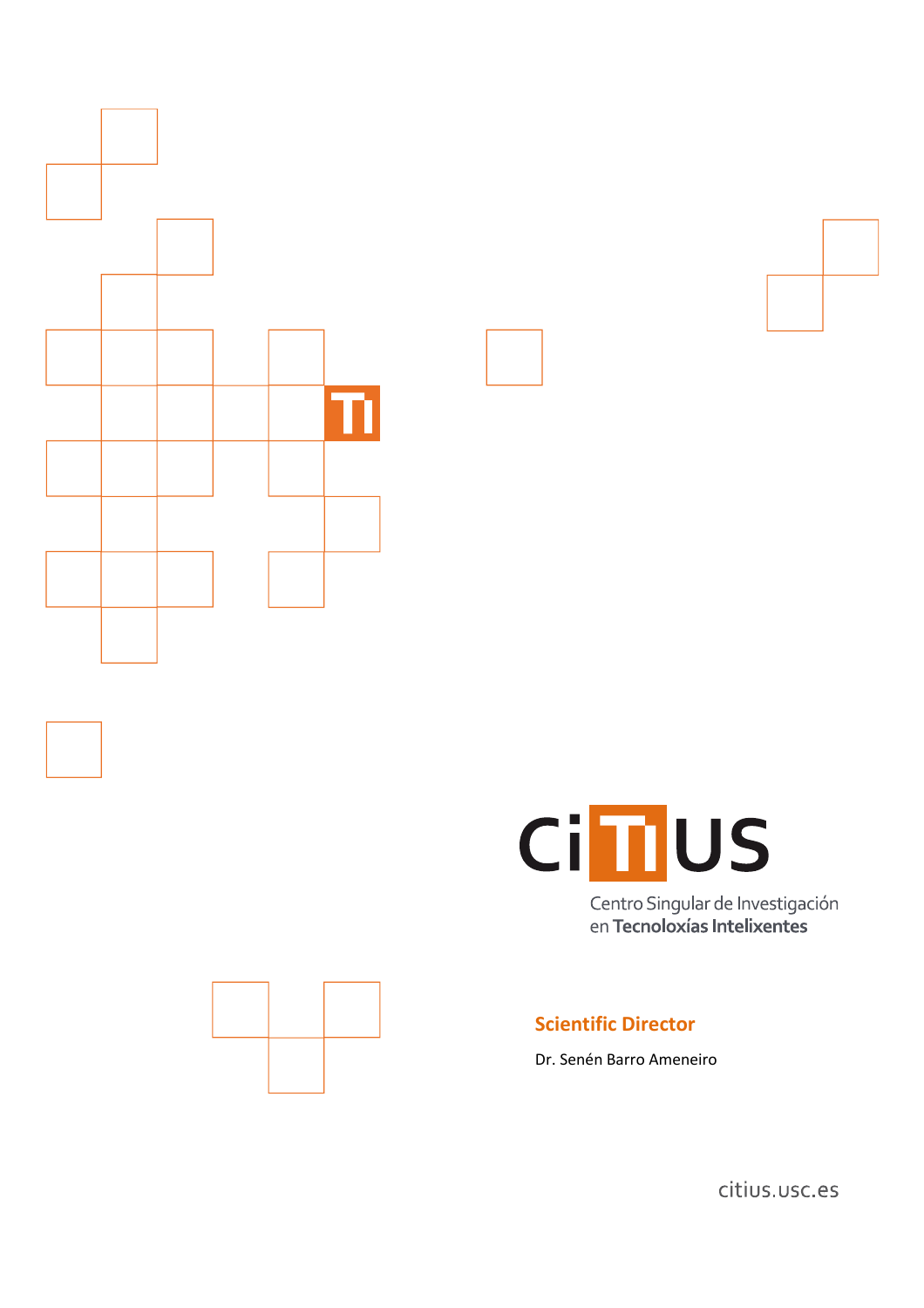



Centro Singular de Investigación en Tecnoloxías Intelixentes



# **Scientific Director**

Dr. Senén Barro Ameneiro

citius.usc.es